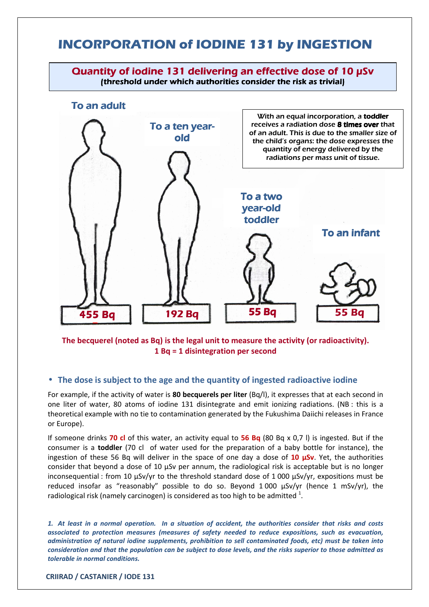## **INCORPORATION of IODINE 131 by INGESTION**



The becquerel (noted as Bq) is the legal unit to measure the activity (or radioactivity). 1 Bq = 1 disintegration per second

## • The dose is subject to the age and the quantity of ingested radioactive iodine

For example, if the activity of water is 80 becquerels per liter (Bq/l), it expresses that at each second in one liter of water, 80 atoms of iodine 131 disintegrate and emit ionizing radiations. (NB : this is a theoretical example with no tie to contamination generated by the Fukushima Daiichi releases in France or Europe).

If someone drinks **70 cl** of this water, an activity equal to **56 Bq** (80 Bq x 0,7 l) is ingested. But if the consumer is a toddler (70 cl of water used for the preparation of a baby bottle for instance), the ingestion of these 56 Bq will deliver in the space of one day a dose of  $10 \mu Sv$ . Yet, the authorities consider that beyond a dose of 10 µSv per annum, the radiological risk is acceptable but is no longer inconsequential : from 10 µSv/yr to the threshold standard dose of 1 000 µSv/yr, expositions must be reduced insofar as "reasonably" possible to do so. Beyond 1 000 µSv/yr (hence 1 mSv/yr), the radiological risk (namely carcinogen) is considered as too high to be admitted  $^{1}$ .

1. At least in a normal operation. In a situation of accident, the authorities consider that risks and costs associated to protection measures (measures of safety needed to reduce expositions, such as evacuation, administration of natural iodine supplements, prohibition to sell contaminated foods, etc) must be taken into consideration and that the population can be subject to dose levels, and the risks superior to those admitted as tolerable in normal conditions.

CRIIRAD / CASTANIER / IODE 131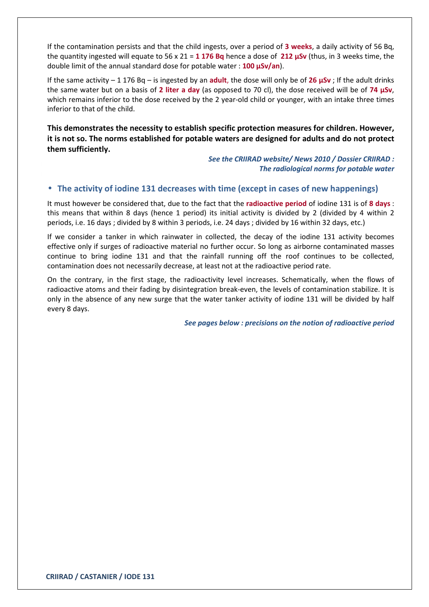If the contamination persists and that the child ingests, over a period of 3 weeks, a daily activity of 56 Bq, the quantity ingested will equate to 56 x 21 = 1 176 Bq hence a dose of 212  $\mu$ Sv (thus, in 3 weeks time, the double limit of the annual standard dose for potable water : 100  $\mu$ Sv/an).

If the same activity – 1 176 Bq – is ingested by an adult, the dose will only be of 26  $\mu Sv$ ; If the adult drinks the same water but on a basis of 2 liter a day (as opposed to 70 cl), the dose received will be of 74 µSv, which remains inferior to the dose received by the 2 year-old child or younger, with an intake three times inferior to that of the child.

This demonstrates the necessity to establish specific protection measures for children. However, it is not so. The norms established for potable waters are designed for adults and do not protect them sufficiently.

> See the CRIIRAD website/ News 2010 / Dossier CRIIRAD : The radiological norms for potable water

## • The activity of iodine 131 decreases with time (except in cases of new happenings)

It must however be considered that, due to the fact that the radioactive period of iodine 131 is of 8 days : this means that within 8 days (hence 1 period) its initial activity is divided by 2 (divided by 4 within 2 periods, i.e. 16 days ; divided by 8 within 3 periods, i.e. 24 days ; divided by 16 within 32 days, etc.)

If we consider a tanker in which rainwater in collected, the decay of the iodine 131 activity becomes effective only if surges of radioactive material no further occur. So long as airborne contaminated masses continue to bring iodine 131 and that the rainfall running off the roof continues to be collected, contamination does not necessarily decrease, at least not at the radioactive period rate.

On the contrary, in the first stage, the radioactivity level increases. Schematically, when the flows of radioactive atoms and their fading by disintegration break-even, the levels of contamination stabilize. It is only in the absence of any new surge that the water tanker activity of iodine 131 will be divided by half every 8 days.

See pages below : precisions on the notion of radioactive period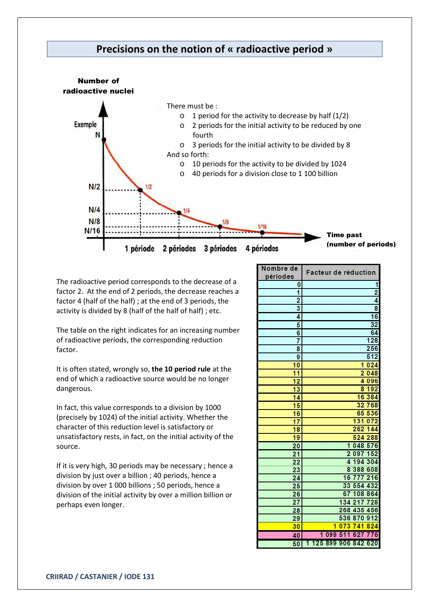



The radioactive period corresponds to the decrease of a factor 2. At the end of 2 periods, the decrease reaches a factor 4 (half of the half) ; at the end of 3 periods, the activity is divided by 8 (half of the half of half) ; etc.

The table on the right indicates for an increasing number of radioactive periods, the corresponding reduction factor.

It is often stated, wrongly so, the 10 period rule at the end of which a radioactive source would be no longer dangerous.

In fact, this value corresponds to a division by 1000 (precisely by 1024) of the initial activity. Whether the character of this reduction level is satisfactory or unsatisfactory rests, in fact, on the initial activity of the source.

If it is very high, 30 periods may be necessary ; hence a division by just over a billion ; 40 periods, hence a division by over 1 000 billions ; 50 periods, hence a division of the initial activity by over a million billion or perhaps even longer.

| Nombre de<br>périodes | Facteur de réduction                  |  |  |
|-----------------------|---------------------------------------|--|--|
| 0                     |                                       |  |  |
| 1                     | 2                                     |  |  |
| 2                     | 4                                     |  |  |
| 3                     | 8                                     |  |  |
| 4                     | 16                                    |  |  |
| 5                     | 32                                    |  |  |
| 6                     | 64                                    |  |  |
| 7                     | 128                                   |  |  |
| 8                     | 256                                   |  |  |
| 9                     | 512                                   |  |  |
| 10                    | 024<br>1                              |  |  |
| 11                    | $\overline{2}$<br>048                 |  |  |
| 12                    | 096<br>4                              |  |  |
| 13                    | 192<br>8                              |  |  |
| 14                    | 384<br>16                             |  |  |
| 15                    | 768<br>32                             |  |  |
| 16                    | 536<br>65                             |  |  |
| 17                    | 131<br>072                            |  |  |
| 18                    | 262<br>144                            |  |  |
| 19                    | 524<br>288                            |  |  |
| 20                    | 048<br>576<br>1                       |  |  |
| 21                    | 097<br>152<br>$\overline{2}$          |  |  |
| 22                    | 194<br>304<br>$\overline{\mathbf{A}}$ |  |  |
| 23                    | 388<br>8<br>608                       |  |  |
| 24                    | 16<br>216<br>777                      |  |  |
| 25                    | 33<br>554<br>432                      |  |  |
| 26                    | 08<br>864<br>67<br>1                  |  |  |
| 27                    | 728<br>134                            |  |  |
| 28                    | 268<br>435<br>456                     |  |  |
| 29                    | 536<br>870<br>912                     |  |  |
| 30                    | 073<br>824<br>1<br>741                |  |  |
| 40                    | 099<br>51<br>1<br>627<br>76           |  |  |
| 50                    | 25899<br>842<br>620<br>906            |  |  |